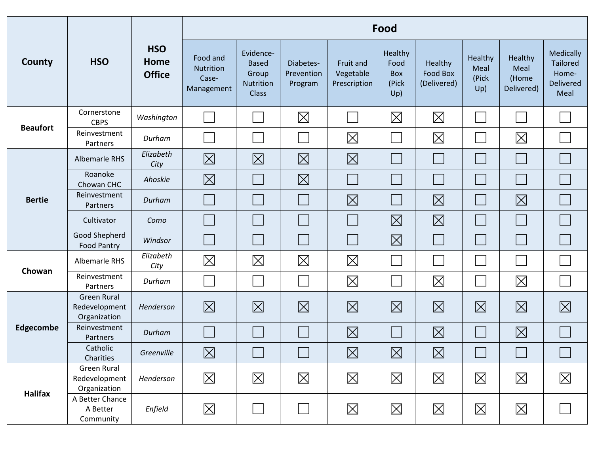|                  | <b>HSO</b>                                          | <b>HSO</b><br>Home<br><b>Office</b> | Food                                                |                                                                 |                                    |                                        |                                               |                                    |                                 |                                        |                                                                          |  |
|------------------|-----------------------------------------------------|-------------------------------------|-----------------------------------------------------|-----------------------------------------------------------------|------------------------------------|----------------------------------------|-----------------------------------------------|------------------------------------|---------------------------------|----------------------------------------|--------------------------------------------------------------------------|--|
| County           |                                                     |                                     | Food and<br><b>Nutrition</b><br>Case-<br>Management | Evidence-<br><b>Based</b><br>Group<br>Nutrition<br><b>Class</b> | Diabetes-<br>Prevention<br>Program | Fruit and<br>Vegetable<br>Prescription | Healthy<br>Food<br><b>Box</b><br>(Pick<br>Up) | Healthy<br>Food Box<br>(Delivered) | Healthy<br>Meal<br>(Pick<br>Up) | Healthy<br>Meal<br>(Home<br>Delivered) | <b>Medically</b><br><b>Tailored</b><br>Home-<br><b>Delivered</b><br>Meal |  |
| <b>Beaufort</b>  | Cornerstone<br><b>CBPS</b>                          | Washington                          |                                                     |                                                                 | $\boxtimes$                        |                                        | $\boxtimes$                                   | $\boxtimes$                        |                                 |                                        |                                                                          |  |
|                  | Reinvestment<br>Partners                            | Durham                              |                                                     |                                                                 |                                    | $\boxtimes$                            |                                               | $\boxtimes$                        |                                 | $\boxtimes$                            |                                                                          |  |
| <b>Bertie</b>    | Albemarle RHS                                       | Elizabeth<br>City                   | $\boxtimes$                                         | $\boxtimes$                                                     | $\boxtimes$                        | $\boxtimes$                            |                                               |                                    |                                 |                                        |                                                                          |  |
|                  | Roanoke<br>Chowan CHC                               | Ahoskie                             | $\boxtimes$                                         |                                                                 | $\boxtimes$                        |                                        |                                               |                                    |                                 |                                        |                                                                          |  |
|                  | Reinvestment<br>Partners                            | Durham                              |                                                     |                                                                 |                                    | $\boxtimes$                            |                                               | 冈                                  |                                 | $\boxtimes$                            |                                                                          |  |
|                  | Cultivator                                          | Como                                |                                                     |                                                                 |                                    |                                        | $\boxtimes$                                   | $\boxtimes$                        |                                 |                                        |                                                                          |  |
|                  | Good Shepherd<br><b>Food Pantry</b>                 | Windsor                             |                                                     |                                                                 |                                    |                                        | $\boxtimes$                                   |                                    |                                 |                                        |                                                                          |  |
| Chowan           | Albemarle RHS                                       | Elizabeth<br>City                   | $\boxtimes$                                         | $\boxtimes$                                                     | $\boxtimes$                        | $\boxtimes$                            |                                               |                                    |                                 |                                        |                                                                          |  |
|                  | Reinvestment<br>Partners                            | Durham                              |                                                     |                                                                 |                                    | $\boxtimes$                            |                                               | $\boxtimes$                        |                                 | $\boxtimes$                            |                                                                          |  |
| <b>Edgecombe</b> | <b>Green Rural</b><br>Redevelopment<br>Organization | Henderson                           | $\boxtimes$                                         | $\boxtimes$                                                     | $\boxtimes$                        | $\boxtimes$                            | $\boxtimes$                                   | $\boxtimes$                        | $\boxtimes$                     | $\boxtimes$                            | $\boxtimes$                                                              |  |
|                  | Reinvestment<br>Partners                            | Durham                              |                                                     |                                                                 |                                    | $\boxtimes$                            |                                               | $\boxtimes$                        |                                 | $\boxtimes$                            |                                                                          |  |
|                  | Catholic<br>Charities                               | Greenville                          | $\boxtimes$                                         | $\Box$                                                          | $\Box$                             | $\boxtimes$                            | $\boxtimes$                                   | $\boxtimes$                        |                                 | $\overline{\phantom{a}}$               | $\Box$                                                                   |  |
| <b>Halifax</b>   | Green Rural<br>Redevelopment<br>Organization        | Henderson                           | $\boxtimes$                                         | $\boxtimes$                                                     | $\boxtimes$                        | $\boxtimes$                            | $\boxtimes$                                   | $\boxtimes$                        | $\boxtimes$                     | $\boxtimes$                            | $\boxtimes$                                                              |  |
|                  | A Better Chance<br>A Better<br>Community            | Enfield                             | $\boxtimes$                                         |                                                                 |                                    | $\boxtimes$                            | $\boxtimes$                                   | $\boxtimes$                        | $\boxtimes$                     | $\boxtimes$                            |                                                                          |  |